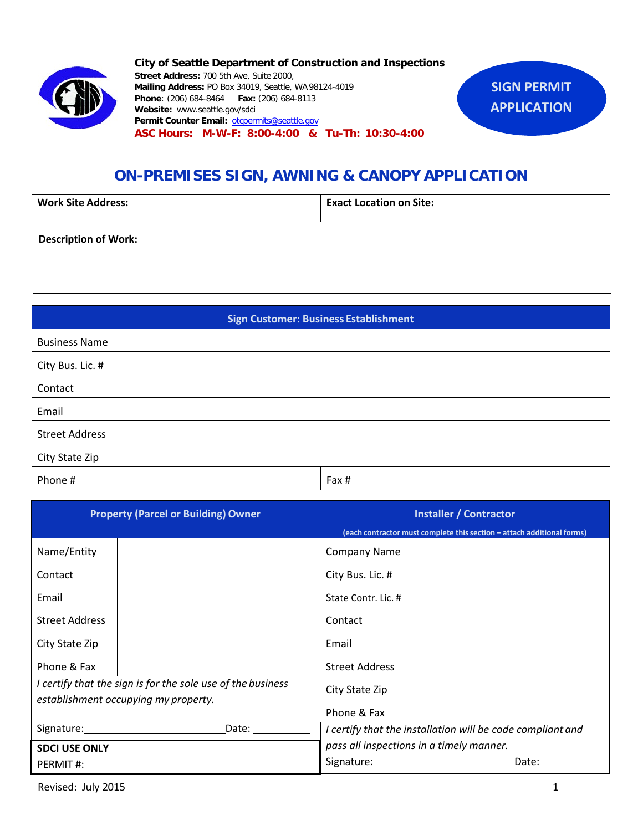

**City of Seattle Department of Construction and Inspections Street Address:** 700 5th Ave, Suite 2000, **Mailing Address:** PO Box 34019, Seattle, WA 98124-4019 **Phone**: (206) 684-8464 **Fax:** (206) 684-8113 **Website:** [www.seattle.gov/](http://www.seattle.gov/dpd)sdci **Permit Counter Email:** [otcpermits@seattle.gov](mailto:otcpermits@seattle.gov) **ASC Hours: M-W-F: 8:00-4:00 & Tu-Th: 10:30-4:00**



| <b>Work Site Address:</b> | <b>Exact Location on Site:</b> |  |  |  |  |
|---------------------------|--------------------------------|--|--|--|--|
|                           |                                |  |  |  |  |

**Description of Work:**

**Sign Customer: Business Establishment** Business Name City Bus. Lic. # Contact Email Street Address City State Zip Phone # Fax #

| <b>Property (Parcel or Building) Owner</b>                  |             | <b>Installer / Contractor</b>                                          |       |  |  |  |
|-------------------------------------------------------------|-------------|------------------------------------------------------------------------|-------|--|--|--|
|                                                             |             | (each contractor must complete this section - attach additional forms) |       |  |  |  |
| Name/Entity                                                 |             | <b>Company Name</b>                                                    |       |  |  |  |
| Contact                                                     |             | City Bus. Lic. #                                                       |       |  |  |  |
| Email                                                       |             | State Contr. Lic. #                                                    |       |  |  |  |
| <b>Street Address</b>                                       |             | Contact                                                                |       |  |  |  |
| City State Zip                                              |             | Email                                                                  |       |  |  |  |
| Phone & Fax                                                 |             | <b>Street Address</b>                                                  |       |  |  |  |
| I certify that the sign is for the sole use of the business |             | City State Zip                                                         |       |  |  |  |
| establishment occupying my property.                        | Phone & Fax |                                                                        |       |  |  |  |
|                                                             | Date:       | I certify that the installation will be code compliant and             |       |  |  |  |
| <b>SDCI USE ONLY</b>                                        |             | pass all inspections in a timely manner.                               |       |  |  |  |
| PERMIT#:                                                    |             | Signature:                                                             | Date: |  |  |  |

**SIGN PERMIT APPLICATION**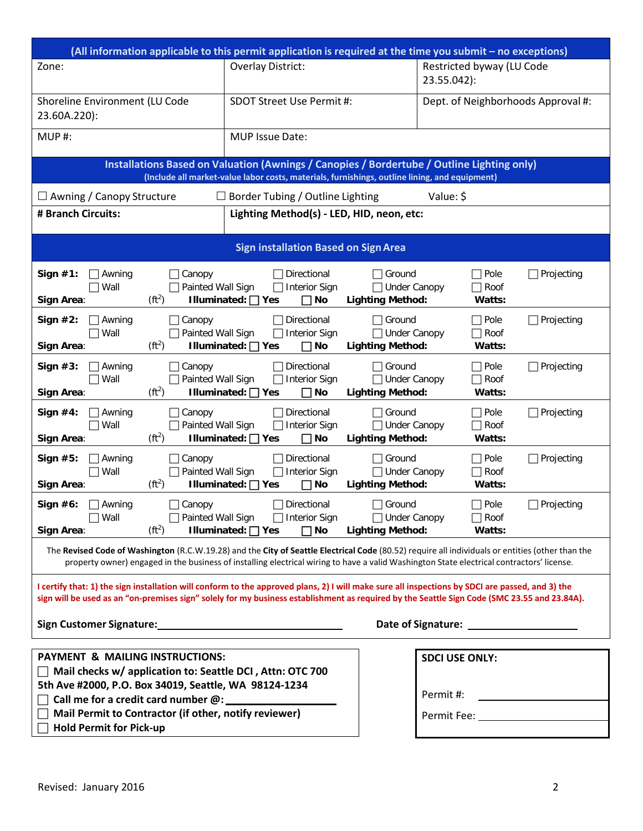| (All information applicable to this permit application is required at the time you submit - no exceptions)                                                                                                                                                                                        |                                                          |                          |                                                  |                                                                 |  |                                           |                   |  |  |  |
|---------------------------------------------------------------------------------------------------------------------------------------------------------------------------------------------------------------------------------------------------------------------------------------------------|----------------------------------------------------------|--------------------------|--------------------------------------------------|-----------------------------------------------------------------|--|-------------------------------------------|-------------------|--|--|--|
| Zone:                                                                                                                                                                                                                                                                                             |                                                          | <b>Overlay District:</b> |                                                  | Restricted byway (LU Code<br>23.55.042):                        |  |                                           |                   |  |  |  |
| Shoreline Environment (LU Code<br>23.60A.220):                                                                                                                                                                                                                                                    |                                                          | SDOT Street Use Permit#: |                                                  | Dept. of Neighborhoods Approval #:                              |  |                                           |                   |  |  |  |
| MUP#:                                                                                                                                                                                                                                                                                             |                                                          | MUP Issue Date:          |                                                  |                                                                 |  |                                           |                   |  |  |  |
| Installations Based on Valuation (Awnings / Canopies / Bordertube / Outline Lighting only)<br>(Include all market-value labor costs, materials, furnishings, outline lining, and equipment)                                                                                                       |                                                          |                          |                                                  |                                                                 |  |                                           |                   |  |  |  |
| $\Box$ Awning / Canopy Structure<br>$\Box$ Border Tubing / Outline Lighting<br>Value: \$                                                                                                                                                                                                          |                                                          |                          |                                                  |                                                                 |  |                                           |                   |  |  |  |
| Lighting Method(s) - LED, HID, neon, etc:<br># Branch Circuits:                                                                                                                                                                                                                                   |                                                          |                          |                                                  |                                                                 |  |                                           |                   |  |  |  |
| <b>Sign installation Based on Sign Area</b>                                                                                                                                                                                                                                                       |                                                          |                          |                                                  |                                                                 |  |                                           |                   |  |  |  |
| Sign $#1$ :<br>Awning<br>Wall<br>Sign Area:                                                                                                                                                                                                                                                       | Canopy<br>Painted Wall Sign<br>$(ft^2)$                  | Illuminated: □ Yes       | Directional<br><b>Interior Sign</b><br>$\Box$ No | Ground<br><b>Under Canopy</b><br><b>Lighting Method:</b>        |  | Pole<br>Roof<br>Watts:                    | Projecting        |  |  |  |
| Sign $#2$ :<br>Awning<br>Wall<br>Sign Area:                                                                                                                                                                                                                                                       | Canopy<br>Painted Wall Sign<br>$(ft^2)$                  | Illuminated: □ Yes       | Directional<br><b>Interior Sign</b><br>$\Box$ No | Ground<br><b>Under Canopy</b><br><b>Lighting Method:</b>        |  | $\Box$ Pole<br>$\Box$ Roof<br>Watts:      | $\Box$ Projecting |  |  |  |
| Sign $#3$ :<br>Awning<br>Wall<br>Sign Area:                                                                                                                                                                                                                                                       | Canopy<br>Painted Wall Sign<br>$(ft^2)$                  | Illuminated: □ Yes       | Directional<br><b>Interior Sign</b><br>$\Box$ No | $\Box$ Ground<br><b>Under Canopy</b><br><b>Lighting Method:</b> |  | $\Box$ Pole<br>$\Box$ Roof<br>Watts:      | $\Box$ Projecting |  |  |  |
| Sign $#4$ :<br>Awning<br>Wall<br>Sign Area:                                                                                                                                                                                                                                                       | Canopy<br>Painted Wall Sign<br>$(ft^2)$                  | Illuminated: □ Yes       | Directional<br><b>Interior Sign</b><br>$\Box$ No | Ground<br><b>Under Canopy</b><br><b>Lighting Method:</b>        |  | $\Box$ Pole<br>$\Box$ Roof<br>Watts:      | $\Box$ Projecting |  |  |  |
| Sign $#5$ :<br>Awning<br>Wall<br>Sign Area:                                                                                                                                                                                                                                                       | Canopy<br>Painted Wall Sign<br>$(ft^2)$                  | Illuminated: □ Yes       | Directional<br><b>Interior Sign</b><br>$\Box$ No | Ground<br><b>Under Canopy</b><br><b>Lighting Method:</b>        |  | $\Box$ Pole<br>$\Box$ Roof<br>Watts:      | $\Box$ Projecting |  |  |  |
| Sign $#6$ :<br>Awning<br>$\Box$ Wall<br>Sign Area:                                                                                                                                                                                                                                                | Canopy<br>$\Box$ Painted Wall Sign<br>(ft <sup>2</sup> ) | Illuminated: $\Box$ Yes  | Directional<br>$\Box$ Interior Sign<br>$\Box$ No | Ground<br>□ Under Canopy<br><b>Lighting Method:</b>             |  | $\sqsupset$ Pole<br>$\Box$ Roof<br>Watts: | Projecting        |  |  |  |
| The Revised Code of Washington (R.C.W.19.28) and the City of Seattle Electrical Code (80.52) require all individuals or entities (other than the<br>property owner) engaged in the business of installing electrical wiring to have a valid Washington State electrical contractors' license.     |                                                          |                          |                                                  |                                                                 |  |                                           |                   |  |  |  |
| I certify that: 1) the sign installation will conform to the approved plans, 2) I will make sure all inspections by SDCI are passed, and 3) the<br>sign will be used as an "on-premises sign" solely for my business establishment as required by the Seattle Sign Code (SMC 23.55 and 23.84A).   |                                                          |                          |                                                  |                                                                 |  |                                           |                   |  |  |  |
| Date of Signature: The Contract of Signature:                                                                                                                                                                                                                                                     |                                                          |                          |                                                  |                                                                 |  |                                           |                   |  |  |  |
| <b>PAYMENT &amp; MAILING INSTRUCTIONS:</b><br><b>SDCI USE ONLY:</b><br>Mail checks w/ application to: Seattle DCI, Attn: OTC 700<br>5th Ave #2000, P.O. Box 34019, Seattle, WA 98124-1234<br>Permit #:<br>Mail Permit to Contractor (if other, notify reviewer)<br><b>Hold Permit for Pick-up</b> |                                                          |                          |                                                  |                                                                 |  |                                           |                   |  |  |  |